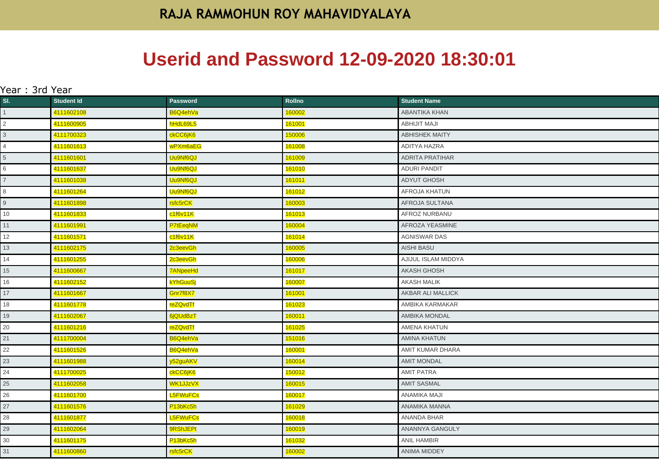## **Userid and Password 12-09-2020 18:30:01**

| Year : 3rd Year |                   |                                   |                |                        |  |
|-----------------|-------------------|-----------------------------------|----------------|------------------------|--|
| SI.             | <b>Student Id</b> | <b>Password</b>                   | Rollno         | <b>Student Name</b>    |  |
| 1               | 4111602108        | B6Q4ehVa                          | 160002         | ABANTIKA KHAN          |  |
| $\overline{a}$  | 4111600905        | hHdL69L5                          | <u> 161001</u> | <b>ABHIJIT MAJI</b>    |  |
| $\mathbf{3}$    | 4111700323        | ckCC6jK6                          | 150006         | <b>ABHISHEK MAITY</b>  |  |
| $\overline{4}$  | 4111601613        | wPXm6aEG                          | <u> 161008</u> | ADITYA HAZRA           |  |
| $5\overline{)}$ | 4111601601        | Uu9Nf6QJ                          | 161009         | <b>ADRITA PRATIHAR</b> |  |
| 6               | 4111601637        | Uu9Nf6QJ                          | 161010         | <b>ADURI PANDIT</b>    |  |
| $\overline{7}$  | 4111601038        | Uu9Nf6QJ                          | 161011         | <b>ADYUT GHOSH</b>     |  |
| 8               | 4111601264        | Uu9Nf6QJ                          | 161012         | AFROJA KHATUN          |  |
| 9               | 4111601898        | rsfc5rCK                          | 160003         | AFROJA SULTANA         |  |
| 10 <sup>1</sup> | 4111601833        | c1f6v11K                          | 161013         | AFROZ NURBANU          |  |
| 11              | 4111601991        | P7tEeqNM                          | 160004         | AFROZA YEASMINE        |  |
| 12              | 4111601571        | c1f6v11K                          | 161014         | <b>AGNISWAR DAS</b>    |  |
| 13              | 4111602175        | 2c3eevGh                          | 160005         | <b>AISHI BASU</b>      |  |
| 14              | 4111601255        | 2c3eevGh                          | 160006         | AJIJUL ISLAM MIDDYA    |  |
| 15              | 4111600667        | <b>7ANpeeHd</b>                   | 161017         | <b>AKASH GHOSH</b>     |  |
| 16              | 4111602152        | <b>kYhGuuSj</b>                   | 160007         | <b>AKASH MALIK</b>     |  |
| 17              | 4111601667        | Gnr7f8X7                          | 161001         | AKBAR ALI MALLICK      |  |
| 18              | 4111601778        | reZQvdTf                          | 161023         | AMBIKA KARMAKAR        |  |
| 19              | 4111602067        | 6jQUdBzT                          | 160011         | <b>AMBIKA MONDAL</b>   |  |
| 20              | 4111601216        | reZQvdTf                          | 161025         | <b>AMENA KHATUN</b>    |  |
| 21              | 4111700004        | B6Q4ehVa                          | 151016         | <b>AMINA KHATUN</b>    |  |
| 22              | 4111601526        | B6Q4ehVa                          | 160001         | AMIT KUMAR DHARA       |  |
| 23              | 4111601988        | y52guAKV                          | 160014         | <b>AMIT MONDAL</b>     |  |
| 24              | 4111700025        | ckCC6jK6                          | 150012         | <b>AMIT PATRA</b>      |  |
| 25              | 4111602058        | WK1JJzVX                          | 160015         | <b>AMIT SASMAL</b>     |  |
| 26              | 4111601700        | L5FWuFCs                          | 160017         | ANAMIKA MAJI           |  |
| 27              | 4111601576        | P <sub>13bKc5h</sub>              | 161029         | ANAMIKA MANNA          |  |
| 28              | 4111601877        | <b>L5FWuFCs</b>                   | 160018         | ANANDA BHAR            |  |
| 29              | 4111602064        | <b>9RShJEPt</b>                   | 160019         | ANANNYA GANGULY        |  |
| 30              | 4111601175        | P <sub>13b</sub> Kc <sub>5h</sub> | 161032         | ANIL HAMBIR            |  |
| 31              | 4111600860        | rsfc5rCK                          | 160002         | ANIMA MIDDEY           |  |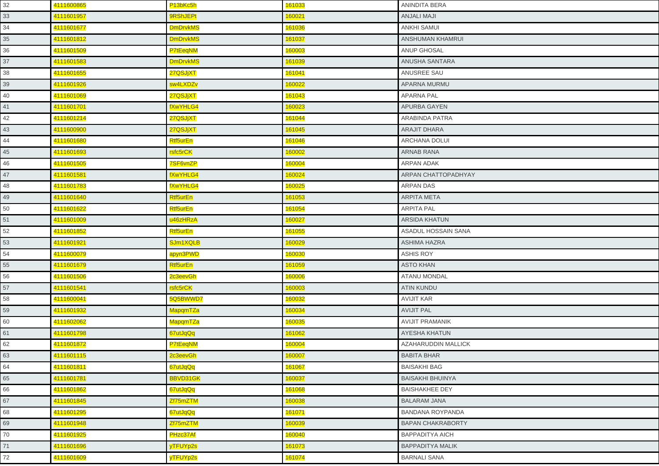| 32 | 4111600865 | P <sub>13b</sub> Kc <sub>5h</sub> | 161033 | ANINDITA BERA            |
|----|------------|-----------------------------------|--------|--------------------------|
| 33 | 4111601957 | 9RShJEPt                          | 160021 | ANJALI MAJI              |
| 34 | 4111601677 | <b>DmDrvkMS</b>                   | 161036 | <b>ANKHI SAMUI</b>       |
| 35 | 4111601812 | <b>DmDrvkMS</b>                   | 161037 | ANSHUMAN KHAMRUI         |
| 36 | 4111601509 | P7tEeqNM                          | 160003 | <b>ANUP GHOSAL</b>       |
| 37 | 4111601583 | <b>DmDrvkMS</b>                   | 161039 | ANUSHA SANTARA           |
| 38 | 4111601655 | 27QSJjXT                          | 161041 | ANUSREE SAU              |
| 39 | 4111601926 | sw4LXDZv                          | 160022 | APARNA MURMU             |
| 40 | 4111601069 | 27QSJjXT                          | 161043 | <b>APARNA PAL</b>        |
| 41 | 4111601701 | <b>fXwYHLG4</b>                   | 160023 | APURBA GAYEN             |
| 42 | 4111601214 | 27QSJjXT                          | 161044 | ARABINDA PATRA           |
| 43 | 4111600900 | 27QSJjXT                          | 161045 | <b>ARAJIT DHARA</b>      |
| 44 | 4111601680 | Rtf5urEn                          | 161046 | <b>ARCHANA DOLUI</b>     |
| 45 | 4111601693 | rsfc5rCK                          | 160002 | <b>ARNAB RANA</b>        |
| 46 | 4111601505 | 7SF6vnZP                          | 160004 | ARPAN ADAK               |
| 47 | 4111601581 | <b>fXwYHLG4</b>                   | 160024 | ARPAN CHATTOPADHYAY      |
| 48 | 4111601783 | <b>fXwYHLG4</b>                   | 160025 | <b>ARPAN DAS</b>         |
| 49 | 4111601640 | Rtf5urEn                          | 161053 | <b>ARPITA META</b>       |
| 50 | 4111601622 | Rtf5urEn                          | 161054 | <b>ARPITA PAL</b>        |
| 51 | 4111601009 | u46zHRzA                          | 160027 | <b>ARSIDA KHATUN</b>     |
| 52 | 4111601852 | Rtf5urEn                          | 161055 | ASADUL HOSSAIN SANA      |
| 53 | 4111601921 | SJm1XQLB                          | 160029 | <b>ASHIMA HAZRA</b>      |
| 54 | 4111600079 | apyn3PWD                          | 160030 | <b>ASHIS ROY</b>         |
| 55 | 4111601679 | Rtf5urEn                          | 161059 | <b>ASTO KHAN</b>         |
| 56 | 4111601506 | 2c3eevGh                          | 160006 | <b>ATANU MONDAL</b>      |
| 57 | 4111601541 | rsfc5rCK                          | 160003 | <b>ATIN KUNDU</b>        |
| 58 | 4111600041 | 5Q5BWWD7                          | 160032 | <b>AVIJIT KAR</b>        |
| 59 | 4111601932 | MapqmTZa                          | 160034 | <b>AVIJIT PAL</b>        |
| 60 | 4111602062 | <b>MapqmTZa</b>                   | 160035 | <b>AVIJIT PRAMANIK</b>   |
| 61 | 4111601798 | 67utJqQq                          | 161062 | AYESHA KHATUN            |
| 62 | 4111601872 | P7tEeqNM                          | 160004 | AZAHARUDDIN MALLICK      |
| 63 | 4111601115 | 2c3eevGh                          | 160007 | <b>BABITA BHAR</b>       |
| 64 | 4111601811 | 67utJqQq                          | 161067 | <b>BAISAKHI BAG</b>      |
| 65 | 4111601781 | BBVD31GK                          | 160037 | <b>BAISAKHI BHUINYA</b>  |
| 66 | 4111601862 | 67utJqQq                          | 161068 | <b>BAISHAKHEE DEY</b>    |
| 67 | 4111601845 | Zf75mZTM                          | 160038 | <b>BALARAM JANA</b>      |
| 68 | 4111601295 | 67utJqQq                          | 161071 | <b>BANDANA ROYPANDA</b>  |
| 69 | 4111601948 | Zf75mZTM                          | 160039 | <b>BAPAN CHAKRABORTY</b> |
| 70 | 4111601925 | PHzc37Af                          | 160040 | <b>BAPPADITYA AICH</b>   |
| 71 | 4111601696 | yTFUYp2s                          | 161073 | <b>BAPPADITYA MALIK</b>  |
| 72 | 4111601609 | yTFUYp2s                          | 161074 | <b>BARNALI SANA</b>      |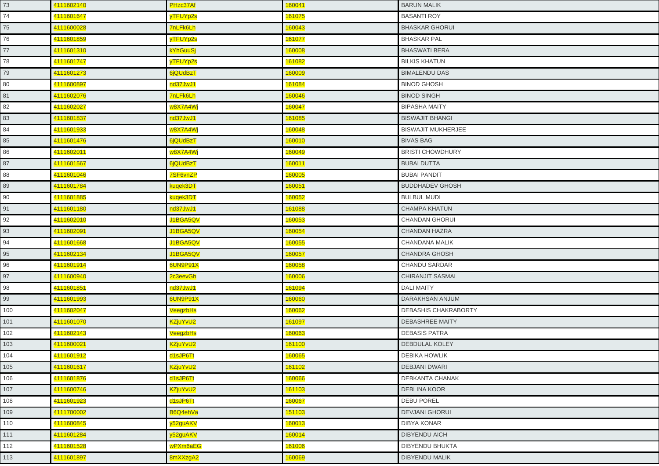| 73  | 4111602140 | PHzc37Af        | 160041 | <b>BARUN MALIK</b>        |
|-----|------------|-----------------|--------|---------------------------|
| 74  | 4111601647 | yTFUYp2s        | 161075 | <b>BASANTI ROY</b>        |
| 75  | 4111600028 | 7nLFk6Lh        | 160043 | <b>BHASKAR GHORUI</b>     |
| 76  | 4111601859 | yTFUYp2s        | 161077 | <b>BHASKAR PAL</b>        |
| 77  | 4111601310 | <b>kYhGuuSj</b> | 160008 | <b>BHASWATI BERA</b>      |
| 78  | 4111601747 | yTFUYp2s        | 161082 | <b>BILKIS KHATUN</b>      |
| 79  | 4111601273 | 6jQUdBzT        | 160009 | <b>BIMALENDU DAS</b>      |
| 80  | 4111600897 | nd37JwJ1        | 161084 | <b>BINOD GHOSH</b>        |
| 81  | 4111602076 | <b>7nLFk6Lh</b> | 160046 | <b>BINOD SINGH</b>        |
| 82  | 4111602027 | w8X7A4Wj        | 160047 | <b>BIPASHA MAITY</b>      |
| 83  | 4111601837 | nd37JwJ1        | 161085 | <b>BISWAJIT BHANGI</b>    |
| 84  | 4111601933 | w8X7A4Wj        | 160048 | <b>BISWAJIT MUKHERJEE</b> |
| 85  | 4111601476 | 6jQUdBzT        | 160010 | <b>BIVAS BAG</b>          |
| 86  | 4111602011 | w8X7A4Wj        | 160049 | <b>BRISTI CHOWDHURY</b>   |
| 87  | 4111601567 | 6jQUdBzT        | 160011 | <b>BUBAI DUTTA</b>        |
| 88  | 4111601046 | 7SF6vnZP        | 160005 | <b>BUBAI PANDIT</b>       |
| 89  | 4111601784 | kuqek3DT        | 160051 | <b>BUDDHADEV GHOSH</b>    |
| 90  | 4111601885 | kuqek3DT        | 160052 | <b>BULBUL MUDI</b>        |
| 91  | 4111601180 | nd37JwJ1        | 161088 | <b>CHAMPA KHATUN</b>      |
| 92  | 4111602010 | J1BGA5QV        | 160053 | CHANDAN GHORUI            |
| 93  | 4111602091 | J1BGA5QV        | 160054 | <b>CHANDAN HAZRA</b>      |
| 94  | 4111601668 | J1BGA5QV        | 160055 | CHANDANA MALIK            |
| 95  | 4111602134 | J1BGA5QV        | 160057 | <b>CHANDRA GHOSH</b>      |
| 96  | 4111601914 | 6UN9P91X        | 160058 | <b>CHANDU SARDAR</b>      |
| 97  | 4111600940 | 2c3eevGh        | 160006 | <b>CHIRANJIT SASMAL</b>   |
| 98  | 4111601851 | nd37JwJ1        | 161094 | <b>DALI MAITY</b>         |
| 99  | 4111601993 | 6UN9P91X        | 160060 | DARAKHSAN ANJUM           |
| 100 | 4111602047 | VeegzbHs        | 160062 | DEBASHIS CHAKRABORTY      |
| 101 | 4111601070 | KZjuYvU2        | 161097 | <b>DEBASHREE MAITY</b>    |
| 102 | 4111602143 | VeegzbHs        | 160063 | <b>DEBASIS PATRA</b>      |
| 103 | 4111600021 | KZjuYvU2        | 161100 | <b>DEBDULAL KOLEY</b>     |
| 104 | 4111601912 | d1sJP6Tt        | 160065 | <b>DEBIKA HOWLIK</b>      |
| 105 | 4111601617 | KZjuYvU2        | 161102 | <b>DEBJANI DWARI</b>      |
| 106 | 4111601876 | d1sJP6Tt        | 160066 | DEBKANTA CHANAK           |
| 107 | 4111600746 | KZjuYvU2        | 161103 | <b>DEBLINA KOOR</b>       |
| 108 | 4111601923 | d1sJP6Tt        | 160067 | <b>DEBU POREL</b>         |
| 109 | 4111700002 | B6Q4ehVa        | 151103 | <b>DEVJANI GHORUI</b>     |
| 110 | 4111600845 | y52guAKV        | 160013 | DIBYA KONAR               |
| 111 | 4111601284 | y52guAKV        | 160014 | <b>DIBYENDU AICH</b>      |
| 112 | 4111601528 | wPXm6aEG        | 161006 | <b>DIBYENDU BHUKTA</b>    |
| 113 | 4111601897 | 8mXXzgA2        | 160069 | <b>DIBYENDU MALIK</b>     |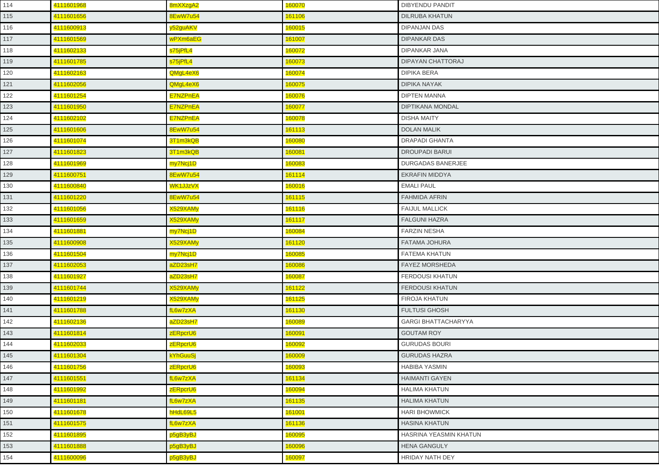| 114 | 4111601968 | 8mXXzgA2        | 160070 | <b>DIBYENDU PANDIT</b>     |
|-----|------------|-----------------|--------|----------------------------|
| 115 | 4111601656 | 8EwW7u54        | 161106 | <b>DILRUBA KHATUN</b>      |
| 116 | 4111600913 | y52guAKV        | 160015 | <b>DIPANJAN DAS</b>        |
| 117 | 4111601569 | wPXm6aEG        | 161007 | <b>DIPANKAR DAS</b>        |
| 118 | 4111602133 | s75jPfL4        | 160072 | <b>DIPANKAR JANA</b>       |
| 119 | 4111601785 | s75jPfL4        | 160073 | DIPAYAN CHATTORAJ          |
| 120 | 4111602163 | QMgL4eX6        | 160074 | <b>DIPIKA BERA</b>         |
| 121 | 4111602056 | QMgL4eX6        | 160075 | <b>DIPIKA NAYAK</b>        |
| 122 | 4111601254 | <b>E7NZPnEA</b> | 160076 | <b>DIPTEN MANNA</b>        |
| 123 | 4111601950 | E7NZPnEA        | 160077 | <b>DIPTIKANA MONDAL</b>    |
| 124 | 4111602102 | <b>E7NZPnEA</b> | 160078 | <b>DISHA MAITY</b>         |
| 125 | 4111601606 | 8EwW7u54        | 161113 | <b>DOLAN MALIK</b>         |
| 126 | 4111601074 | 3T1m3kQB        | 160080 | <b>DRAPADI GHANTA</b>      |
| 127 | 4111601823 | 3T1m3kQB        | 160081 | <b>DROUPADI BARUI</b>      |
| 128 | 4111601969 | my7Ncj1D        | 160083 | <b>DURGADAS BANERJEE</b>   |
| 129 | 4111600751 | 8EwW7u54        | 161114 | <b>EKRAFIN MIDDYA</b>      |
| 130 | 4111600840 | WK1JJzVX        | 160016 | <b>EMALI PAUL</b>          |
| 131 | 4111601220 | 8EwW7u54        | 161115 | <b>FAHMIDA AFRIN</b>       |
| 132 | 4111601056 | X529XAMy        | 161116 | <b>FAIJUL MALLICK</b>      |
| 133 | 4111601659 | X529XAMy        | 161117 | <b>FALGUNI HAZRA</b>       |
| 134 | 4111601881 | my7Ncj1D        | 160084 | <b>FARZIN NESHA</b>        |
| 135 | 4111600908 | X529XAMy        | 161120 | <b>FATAMA JOHURA</b>       |
| 136 | 4111601504 | my7Ncj1D        | 160085 | <b>FATEMA KHATUN</b>       |
| 137 | 4111602053 | aZD23sH7        | 160086 | <b>FAYEZ MORSHEDA</b>      |
| 138 | 4111601927 | aZD23sH7        | 160087 | <b>FERDOUSI KHATUN</b>     |
| 139 | 4111601744 | X529XAMy        | 161122 | <b>FERDOUSI KHATUN</b>     |
| 140 | 4111601219 | X529XAMy        | 161125 | <b>FIROJA KHATUN</b>       |
| 141 | 4111601788 | fL6w7zXA        | 161130 | <b>FULTUSI GHOSH</b>       |
| 142 | 4111602136 | aZD23sH7        | 160089 | <b>GARGI BHATTACHARYYA</b> |
| 143 | 4111601814 | zERpcrU6        | 160091 | <b>GOUTAM ROY</b>          |
| 144 | 4111602033 | zERpcrU6        | 160092 | <b>GURUDAS BOURI</b>       |
| 145 | 4111601304 | <b>kYhGuuSj</b> | 160009 | <b>GURUDAS HAZRA</b>       |
| 146 | 4111601756 | zERpcrU6        | 160093 | <b>HABIBA YASMIN</b>       |
| 147 | 4111601551 | fL6w7zXA        | 161134 | <b>HAIMANTI GAYEN</b>      |
| 148 | 4111601992 | zERpcrU6        | 160094 | <b>HALIMA KHATUN</b>       |
| 149 | 4111601181 | fL6w7zXA        | 161135 | <b>HALIMA KHATUN</b>       |
| 150 | 4111601678 | hHdL69L5        | 161001 | <b>HARI BHOWMICK</b>       |
| 151 | 4111601575 | fL6w7zXA        | 161136 | <b>HASINA KHATUN</b>       |
| 152 | 4111601895 | p5gB3yBJ        | 160095 | HASRINA YEASMIN KHATUN     |
| 153 | 4111601888 | p5gB3yBJ        | 160096 | <b>HENA GANGULY</b>        |
| 154 | 4111600096 | p5gB3yBJ        | 160097 | HRIDAY NATH DEY            |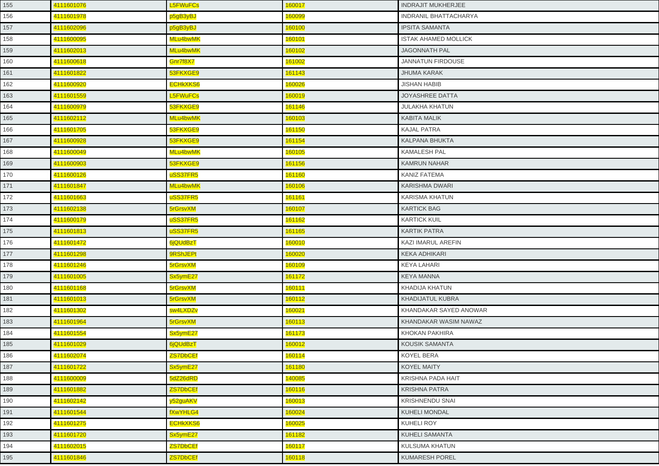| 155 | 4111601076 | <b>L5FWuFCs</b> | 160017 | <b>INDRAJIT MUKHERJEE</b>    |
|-----|------------|-----------------|--------|------------------------------|
| 156 | 4111601978 | p5gB3yBJ        | 160099 | <b>INDRANIL BHATTACHARYA</b> |
| 157 | 4111602096 | p5gB3yBJ        | 160100 | <b>IPSITA SAMANTA</b>        |
| 158 | 4111600095 | MLu4bwMK        | 160101 | <b>ISTAK AHAMED MOLLICK</b>  |
| 159 | 4111602013 | MLu4bwMK        | 160102 | <b>JAGONNATH PAL</b>         |
| 160 | 4111600618 | Gnr7f8X7        | 161002 | <b>JANNATUN FIRDOUSE</b>     |
| 161 | 4111601822 | 53FKXGE9        | 161143 | <b>JHUMA KARAK</b>           |
| 162 | 4111600920 | <b>ECHKXKS6</b> | 160026 | <b>JISHAN HABIB</b>          |
| 163 | 4111601559 | <b>L5FWuFCs</b> | 160019 | JOYASHREE DATTA              |
| 164 | 4111600979 | 53FKXGE9        | 161146 | <b>JULAKHA KHATUN</b>        |
| 165 | 4111602112 | MLu4bwMK        | 160103 | <b>KABITA MALIK</b>          |
| 166 | 4111601705 | 53FKXGE9        | 161150 | <b>KAJAL PATRA</b>           |
| 167 | 4111600928 | 53FKXGE9        | 161154 | KALPANA BHUKTA               |
| 168 | 4111600049 | MLu4bwMK        | 160105 | <b>KAMALESH PAL</b>          |
| 169 | 4111600903 | 53FKXGE9        | 161156 | <b>KAMRUN NAHAR</b>          |
| 170 | 4111600126 | uSS37FR5        | 161160 | KANIZ FATEMA                 |
| 171 | 4111601847 | MLu4bwMK        | 160106 | <b>KARISHMA DWARI</b>        |
| 172 | 4111601663 | uSS37FR5        | 161161 | <b>KARISMA KHATUN</b>        |
| 173 | 4111602138 | 5rGrsvXM        | 160107 | <b>KARTICK BAG</b>           |
| 174 | 4111600179 | uSS37FR5        | 161162 | <b>KARTICK KUIL</b>          |
| 175 | 4111601813 | uSS37FR5        | 161165 | <b>KARTIK PATRA</b>          |
| 176 | 4111601472 | 6jQUdBzT        | 160010 | KAZI IMARUL AREFIN           |
| 177 | 4111601298 | 9RShJEPt        | 160020 | <b>KEKA ADHIKARI</b>         |
| 178 | 4111601246 | 5rGrsvXM        | 160109 | <b>KEYA LAHARI</b>           |
| 179 | 4111601005 | Sx5ymE27        | 161172 | <b>KEYA MANNA</b>            |
| 180 | 4111601168 | 5rGrsvXM        | 160111 | KHADIJA KHATUN               |
| 181 | 4111601013 | 5rGrsvXM        | 160112 | <b>KHADIJATUL KUBRA</b>      |
| 182 | 4111601302 | sw4LXDZv        | 160021 | KHANDAKAR SAYED ANOWAR       |
| 183 | 4111601964 | 5rGrsvXM        | 160113 | KHANDAKAR WASIM NAWAZ        |
| 184 | 4111601554 | Sx5ymE27        | 161173 | KHOKAN PAKHIRA               |
| 185 | 4111601029 | 6jQUdBzT        | 160012 | <b>KOUSIK SAMANTA</b>        |
| 186 | 4111602074 | <u>ZS7DbCEf</u> | 160114 | KOYEL BERA                   |
| 187 | 4111601722 | Sx5ymE27        | 161180 | <b>KOYEL MAITY</b>           |
| 188 | 4111600009 | 5dZ26dRD        | 140085 | <b>KRISHNA PADA HAIT</b>     |
| 189 | 4111601882 | <b>ZS7DbCEf</b> | 160116 | <b>KRISHNA PATRA</b>         |
| 190 | 4111602142 | y52guAKV        | 160013 | <b>KRISHNENDU SNAI</b>       |
| 191 | 4111601544 | fXwYHLG4        | 160024 | <b>KUHELI MONDAL</b>         |
| 192 | 4111601275 | <b>ECHKXKS6</b> | 160025 | <b>KUHELI ROY</b>            |
| 193 | 4111601720 | Sx5ymE27        | 161182 | KUHELI SAMANTA               |
| 194 | 4111602015 | <b>ZS7DbCEf</b> | 160117 | KULSUMA KHATUN               |
| 195 | 4111601846 | <b>ZS7DbCEf</b> | 160118 | <b>KUMARESH POREL</b>        |
|     |            |                 |        |                              |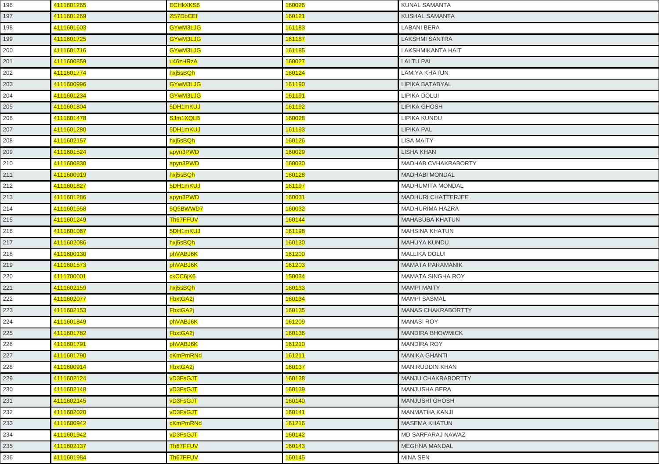| 196 | 4111601265 | <b>ECHKXKS6</b> | 160026 | KUNAL SAMANTA             |
|-----|------------|-----------------|--------|---------------------------|
| 197 | 4111601269 | <b>ZS7DbCEf</b> | 160121 | <b>KUSHAL SAMANTA</b>     |
| 198 | 4111601603 | GYwM3LJG        | 161183 | <b>LABANI BERA</b>        |
| 199 | 4111601725 | GYwM3LJG        | 161187 | <b>LAKSHMI SANTRA</b>     |
| 200 | 4111601716 | GYwM3LJG        | 161185 | LAKSHMIKANTA HAIT         |
| 201 | 4111600859 | u46zHRzA        | 160027 | <b>LALTU PAL</b>          |
| 202 | 4111601774 | hxj5sBQh        | 160124 | LAMIYA KHATUN             |
| 203 | 4111600996 | GYwM3LJG        | 161190 | LIPIKA BATABYAL           |
| 204 | 4111601234 | GYwM3LJG        | 161191 | LIPIKA DOLUI              |
| 205 | 4111601804 | 5DH1mKUJ        | 161192 | <b>LIPIKA GHOSH</b>       |
| 206 | 4111601478 | SJm1XQLB        | 160028 | LIPIKA KUNDU              |
| 207 | 4111601280 | 5DH1mKUJ        | 161193 | <b>LIPIKA PAL</b>         |
| 208 | 4111602157 | hxj5sBQh        | 160126 | <b>LISA MAITY</b>         |
| 209 | 4111601524 | apyn3PWD        | 160029 | <b>LISHA KHAN</b>         |
| 210 | 4111600830 | apyn3PWD        | 160030 | MADHAB CVHAKRABORTY       |
| 211 | 4111600919 | hxj5sBQh        | 160128 | <b>MADHABI MONDAL</b>     |
| 212 | 4111601827 | 5DH1mKUJ        | 161197 | <b>MADHUMITA MONDAL</b>   |
| 213 | 4111601286 | apyn3PWD        | 160031 | <b>MADHURI CHATTERJEE</b> |
| 214 | 4111601558 | 5Q5BWWD7        | 160032 | MADHURIMA HAZRA           |
| 215 | 4111601249 | Th67FFUV        | 160144 | <b>MAHABUBA KHATUN</b>    |
| 216 | 4111601067 | 5DH1mKUJ        | 161198 | <b>MAHSINA KHATUN</b>     |
| 217 | 4111602086 | hxj5sBQh        | 160130 | <b>MAHUYA KUNDU</b>       |
| 218 | 4111600130 | phVABJ6K        | 161200 | <b>MALLIKA DOLUI</b>      |
| 219 | 4111601573 | phVABJ6K        | 161203 | <b>MAMATA PARAMANIK</b>   |
| 220 | 4111700001 | ckCC6jK6        | 150034 | MAMATA SINGHA ROY         |
| 221 | 4111602159 | hxj5sBQh        | 160133 | <b>MAMPI MAITY</b>        |
| 222 | 4111602077 | <b>FbxtGA2j</b> | 160134 | <b>MAMPI SASMAL</b>       |
| 223 | 4111602153 | FbxtGA2j        | 160135 | <b>MANAS CHAKRABORTTY</b> |
| 224 | 4111601849 | phVABJ6K        | 161209 | <b>MANASI ROY</b>         |
| 225 | 4111601782 | <b>FbxtGA2j</b> | 160136 | <b>MANDIRA BHOWMICK</b>   |
| 226 | 4111601791 | phVABJ6K        | 161210 | <b>MANDIRA ROY</b>        |
| 227 | 4111601790 | cKmPmRNd        | 161211 | <b>MANIKA GHANTI</b>      |
| 228 | 4111600914 | FbxtGA2j        | 160137 | MANIRUDDIN KHAN           |
| 229 | 4111602124 | <b>vD3FsGJT</b> | 160138 | MANJU CHAKRABORTTY        |
| 230 | 4111602148 | <b>vD3FsGJT</b> | 160139 | MANJUSHA BERA             |
| 231 | 4111602145 | <b>vD3FsGJT</b> | 160140 | MANJUSRI GHOSH            |
| 232 | 4111602020 | <b>vD3FsGJT</b> | 160141 | <b>MANMATHA KANJI</b>     |
| 233 | 4111600942 | cKmPmRNd        | 161216 | <b>MASEMA KHATUN</b>      |
| 234 | 4111601942 | <b>vD3FsGJT</b> | 160142 | MD SARFARAJ NAWAZ         |
| 235 | 4111602137 | Th67FFUV        | 160143 | <b>MEGHNA MANDAL</b>      |
| 236 | 4111601984 | Th67FFUV        | 160145 | <b>MINA SEN</b>           |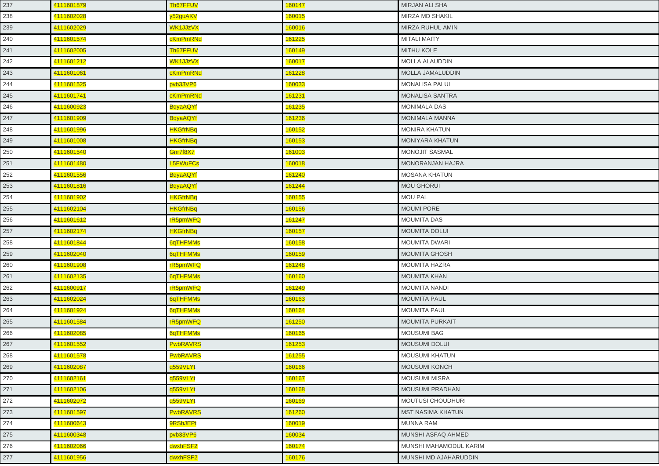| 237 | 4111601879 | Th67FFUV        | 160147 | MIRJAN ALI SHA           |
|-----|------------|-----------------|--------|--------------------------|
| 238 | 4111602028 | y52guAKV        | 160015 | MIRZA MD SHAKIL          |
| 239 | 4111602029 | WK1JJzVX        | 160016 | MIRZA RUHUL AMIN         |
| 240 | 4111601574 | cKmPmRNd        | 161225 | <b>MITALI MAITY</b>      |
| 241 | 4111602005 | Th67FFUV        | 160149 | <b>MITHU KOLE</b>        |
| 242 | 4111601212 | WK1JJzVX        | 160017 | <b>MOLLA ALAUDDIN</b>    |
| 243 | 4111601061 | cKmPmRNd        | 161228 | MOLLA JAMALUDDIN         |
| 244 | 4111601525 | pvb33VP6        | 160033 | <b>MONALISA PALUI</b>    |
| 245 | 4111601741 | cKmPmRNd        | 161231 | <b>MONALISA SANTRA</b>   |
| 246 | 4111600923 | <b>BqyaAQYf</b> | 161235 | <b>MONIMALA DAS</b>      |
| 247 | 4111601909 | <b>BqyaAQYf</b> | 161236 | <b>MONIMALA MANNA</b>    |
| 248 | 4111601996 | <b>HKGfrNBq</b> | 160152 | <b>MONIRA KHATUN</b>     |
| 249 | 4111601008 | <b>HKGfrNBq</b> | 160153 | MONIYARA KHATUN          |
| 250 | 4111601540 | Gnr7f8X7        | 161003 | <b>MONOJIT SASMAL</b>    |
| 251 | 4111601480 | <b>L5FWuFCs</b> | 160018 | <b>MONORANJAN HAJRA</b>  |
| 252 | 4111601556 | <b>BqyaAQYf</b> | 161240 | <b>MOSANA KHATUN</b>     |
| 253 | 4111601816 | <b>BqyaAQYf</b> | 161244 | <b>MOU GHORUI</b>        |
| 254 | 4111601902 | <b>HKGfrNBq</b> | 160155 | <b>MOU PAL</b>           |
| 255 | 4111602104 | <b>HKGfrNBq</b> | 160156 | <b>MOUMI PORE</b>        |
| 256 | 4111601612 | rR5pmWFQ        | 161247 | <b>MOUMITA DAS</b>       |
| 257 | 4111602174 | <b>HKGfrNBq</b> | 160157 | <b>MOUMITA DOLUI</b>     |
| 258 | 4111601844 | 6qTHFMMs        | 160158 | <b>MOUMITA DWARI</b>     |
| 259 | 4111602040 | 6qTHFMMs        | 160159 | <b>MOUMITA GHOSH</b>     |
| 260 | 4111601908 | rR5pmWFQ        | 161248 | <b>MOUMITA HAZRA</b>     |
| 261 | 4111602135 | 6qTHFMMs        | 160160 | <b>MOUMITA KHAN</b>      |
| 262 | 4111600917 | rR5pmWFQ        | 161249 | <b>MOUMITA NANDI</b>     |
| 263 | 4111602024 | 6qTHFMMs        | 160163 | <b>MOUMITA PAUL</b>      |
| 264 | 4111601924 | 6qTHFMMs        | 160164 | <b>MOUMITA PAUL</b>      |
| 265 | 4111601584 | rR5pmWFQ        | 161250 | <b>MOUMITA PURKAIT</b>   |
| 266 | 4111602085 | 6qTHFMMs        | 160165 | <b>MOUSUMI BAG</b>       |
| 267 | 4111601552 | <b>PwbRAVRS</b> | 161253 | <b>MOUSUMI DOLUI</b>     |
| 268 | 4111601578 | <b>PwbRAVRS</b> | 161255 | <b>MOUSUMI KHATUN</b>    |
| 269 | 4111602087 | q559VLYt        | 160166 | <b>MOUSUMI KONCH</b>     |
| 270 | 4111602161 | q559VLYt        | 160167 | <b>MOUSUMI MISRA</b>     |
| 271 | 4111602106 | q559VLYt        | 160168 | MOUSUMI PRADHAN          |
| 272 | 4111602072 | q559VLYt        | 160169 | <b>MOUTUSI CHOUDHURI</b> |
| 273 | 4111601597 | <b>PwbRAVRS</b> | 161260 | <b>MST NASIMA KHATUN</b> |
| 274 | 4111600643 | 9RShJEPt        | 160019 | MUNNA RAM                |
| 275 | 4111600348 | pvb33VP6        | 160034 | MUNSHI ASFAQ AHMED       |
| 276 | 4111602066 | dwxhFSF2        | 160174 | MUNSHI MAHAMODUL KARIM   |
| 277 | 4111601956 | dwxhFSF2        | 160176 | MUNSHI MD AJAHARUDDIN    |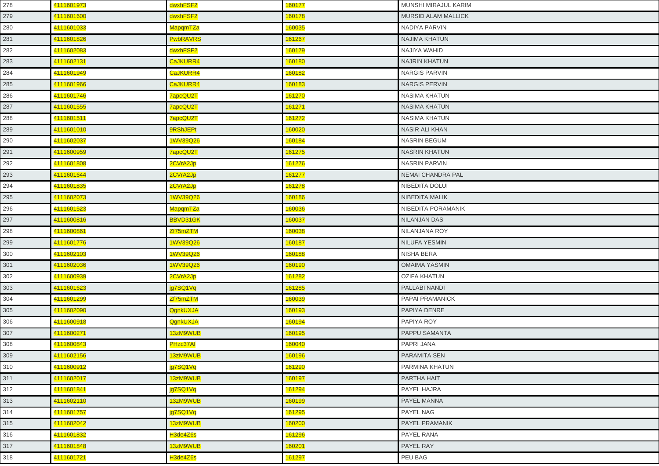| 278 | 4111601973 | dwxhFSF2        | 160177 | MUNSHI MIRAJUL KARIM       |
|-----|------------|-----------------|--------|----------------------------|
| 279 | 4111601600 | dwxhFSF2        | 160178 | <b>MURSID ALAM MALLICK</b> |
| 280 | 4111601033 | <b>MapqmTZa</b> | 160035 | NADIYA PARVIN              |
| 281 | 4111601826 | <b>PwbRAVRS</b> | 161267 | NAJIMA KHATUN              |
| 282 | 4111602083 | dwxhFSF2        | 160179 | NAJIYA WAHID               |
| 283 | 4111602131 | CaJKURR4        | 160180 | <b>NAJRIN KHATUN</b>       |
| 284 | 4111601949 | CaJKURR4        | 160182 | <b>NARGIS PARVIN</b>       |
| 285 | 4111601966 | CaJKURR4        | 160183 | <b>NARGIS PERVIN</b>       |
| 286 | 4111601746 | 7apcQU2T        | 161270 | <b>NASIMA KHATUN</b>       |
| 287 | 4111601555 | 7apcQU2T        | 161271 | <b>NASIMA KHATUN</b>       |
| 288 | 4111601511 | 7apcQU2T        | 161272 | NASIMA KHATUN              |
| 289 | 4111601010 | 9RShJEPt        | 160020 | <b>NASIR ALI KHAN</b>      |
| 290 | 4111602037 | 1WV39Q26        | 160184 | <b>NASRIN BEGUM</b>        |
| 291 | 4111600959 | 7apcQU2T        | 161275 | <b>NASRIN KHATUN</b>       |
| 292 | 4111601808 | 2CVrA2Jp        | 161276 | <b>NASRIN PARVIN</b>       |
| 293 | 4111601644 | 2CVrA2Jp        | 161277 | <b>NEMAI CHANDRA PAL</b>   |
| 294 | 4111601835 | 2CVrA2Jp        | 161278 | NIBEDITA DOLUI             |
| 295 | 4111602073 | 1WV39Q26        | 160186 | NIBEDITA MALIK             |
| 296 | 4111601523 | MapqmTZa        | 160036 | NIBEDITA PORAMANIK         |
| 297 | 4111600816 | BBVD31GK        | 160037 | NILANJAN DAS               |
| 298 | 4111600861 | Zf75mZTM        | 160038 | NILANJANA ROY              |
| 299 | 4111601776 | 1WV39Q26        | 160187 | NILUFA YESMIN              |
| 300 | 4111602103 | 1WV39Q26        | 160188 | NISHA BERA                 |
| 301 | 4111602036 | 1WV39Q26        | 160190 | <b>OMAIMA YASMIN</b>       |
| 302 | 4111600939 | 2CVrA2Jp        | 161282 | <b>OZIFA KHATUN</b>        |
| 303 | 4111601623 | jg7SQ1Vq        | 161285 | PALLABI NANDI              |
| 304 | 4111601299 | Zf75mZTM        | 160039 | PAPAI PRAMANICK            |
| 305 | 4111602090 | QgnkUXJA        | 160193 | PAPIYA DENRE               |
| 306 | 4111600918 | QgnkUXJA        | 160194 | PAPIYA ROY                 |
| 307 | 4111600271 | 13zM9WUB        | 160195 | <b>PAPPU SAMANTA</b>       |
| 308 | 4111600843 | PHzc37Af        | 160040 | <b>PAPRI JANA</b>          |
| 309 | 4111602156 | 13zM9WUB        | 160196 | PARAMITA SEN               |
| 310 | 4111600912 | jg7SQ1Vq        | 161290 | PARMINA KHATUN             |
| 311 | 4111602017 | 13zM9WUB        | 160197 | PARTHA HAIT                |
| 312 | 4111601841 | jg7SQ1Vq        | 161294 | PAYEL HAJRA                |
| 313 | 4111602110 | 13zM9WUB        | 160199 | <b>PAYEL MANNA</b>         |
| 314 | 4111601757 | jg7SQ1Vq        | 161295 | PAYEL NAG                  |
| 315 | 4111602042 | 13zM9WUB        | 160200 | <b>PAYEL PRAMANIK</b>      |
| 316 | 4111601832 | H3de4Z6s        | 161296 | PAYEL RANA                 |
| 317 | 4111601848 | 13zM9WUB        | 160201 | <b>PAYEL RAY</b>           |
| 318 | 4111601721 | H3de4Z6s        | 161297 | PEU BAG                    |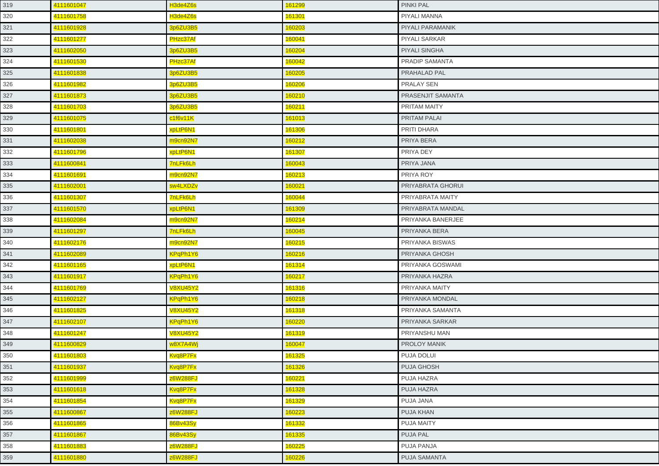| 4111601047 | H3de4Z6s        | 161299 | <b>PINKI PAL</b>         |
|------------|-----------------|--------|--------------------------|
| 4111601758 | H3de4Z6s        | 161301 | PIYALI MANNA             |
| 4111601928 | 3p6ZU3B5        | 160203 | PIYALI PARAMANIK         |
| 4111601277 | PHzc37Af        | 160041 | <b>PIYALI SARKAR</b>     |
| 4111602050 | 3p6ZU3B5        | 160204 | <b>PIYALI SINGHA</b>     |
| 4111601530 | PHzc37Af        | 160042 | <b>PRADIP SAMANTA</b>    |
| 4111601838 | 3p6ZU3B5        | 160205 | PRAHALAD PAL             |
| 4111601982 | 3p6ZU3B5        | 160206 | PRALAY SEN               |
| 4111601873 | 3p6ZU3B5        | 160210 | <b>PRASENJIT SAMANTA</b> |
| 4111601703 | 3p6ZU3B5        | 160211 | PRITAM MAITY             |
| 4111601075 | c1f6v11K        | 161013 | PRITAM PALAI             |
| 4111601801 | xpLtP6N1        | 161306 | PRITI DHARA              |
| 4111602038 | m9cn92N7        | 160212 | PRIYA BERA               |
| 4111601796 | xpLtP6N1        | 161307 | PRIYA DEY                |
| 4111600841 | <b>7nLFk6Lh</b> | 160043 | PRIYA JANA               |
| 4111601691 | m9cn92N7        | 160213 | PRIYA ROY                |
| 4111602001 | sw4LXDZv        | 160021 | PRIYABRATA GHORUI        |
| 4111601307 | 7nLFk6Lh        | 160044 | PRIYABRATA MAITY         |
| 4111601570 | xpLtP6N1        | 161309 | PRIYABRATA MANDAL        |
| 4111602084 | m9cn92N7        | 160214 | PRIYANKA BANERJEE        |
| 4111601297 | <b>7nLFk6Lh</b> | 160045 | PRIYANKA BERA            |
| 4111602176 | m9cn92N7        | 160215 | PRIYANKA BISWAS          |
| 4111602089 | KPqPh1Y6        | 160216 | <b>PRIYANKA GHOSH</b>    |
| 4111601165 | xpLtP6N1        | 161314 | PRIYANKA GOSWAMI         |
| 4111601917 | KPqPh1Y6        | 160217 | PRIYANKA HAZRA           |
| 4111601769 | <b>V8XU45Y2</b> | 161316 | PRIYANKA MAITY           |
| 4111602127 | KPqPh1Y6        | 160218 | PRIYANKA MONDAL          |
| 4111601825 | <b>V8XU45Y2</b> | 161318 | <b>PRIYANKA SAMANTA</b>  |
| 4111602107 | <b>KPqPh1Y6</b> | 160220 | PRIYANKA SARKAR          |
| 4111601247 | <b>V8XU45Y2</b> | 161319 | PRIYANSHU MAN            |
| 4111600829 | w8X7A4Wj        | 160047 | <b>PROLOY MANIK</b>      |
| 4111601803 | Kvq8P7Fx        | 161325 | PUJA DOLUI               |
| 4111601937 | Kvg8P7Fx        | 161326 | <b>PUJA GHOSH</b>        |
| 4111601999 | z6W288FJ        | 160221 | PUJA HAZRA               |
| 4111601618 | Kvq8P7Fx        | 161328 | PUJA HAZRA               |
| 4111601854 | Kvq8P7Fx        | 161329 | PUJA JANA                |
| 4111600867 | <b>z6W288FJ</b> | 160223 | <b>PUJA KHAN</b>         |
| 4111601865 | 86Bv43Sy        | 161332 | <b>PUJA MAITY</b>        |
| 4111601867 | 86Bv43Sy        | 161335 | PUJA PAL                 |
| 4111601883 | z6W288FJ        | 160225 | PUJA PANJA               |
| 4111601880 | z6W288FJ        | 160226 | <b>PUJA SAMANTA</b>      |
|            |                 |        |                          |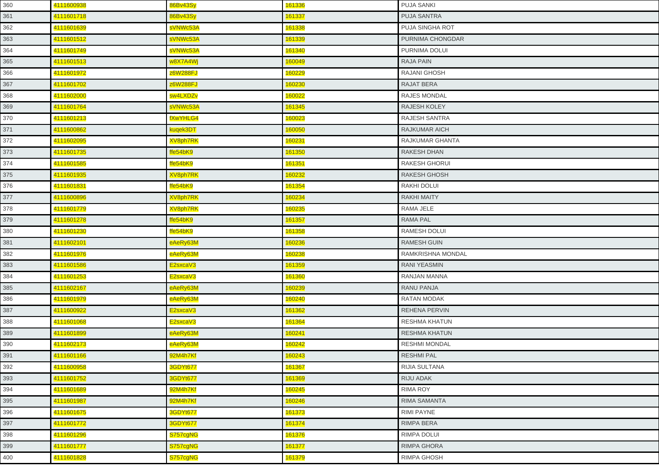| 360 | 4111600938 | 86Bv43Sy        | 161336 | <b>PUJA SANKI</b>    |
|-----|------------|-----------------|--------|----------------------|
| 361 | 4111601718 | 86Bv43Sy        | 161337 | <b>PUJA SANTRA</b>   |
| 362 | 4111601639 | sVNWc53A        | 161338 | PUJA SINGHA ROT      |
| 363 | 4111601512 | sVNWc53A        | 161339 | PURNIMA CHONGDAR     |
| 364 | 4111601749 | sVNWc53A        | 161340 | PURNIMA DOLUI        |
| 365 | 4111601513 | w8X7A4Wj        | 160049 | <b>RAJA PAIN</b>     |
| 366 | 4111601972 | z6W288FJ        | 160229 | RAJANI GHOSH         |
| 367 | 4111601702 | z6W288FJ        | 160230 | <b>RAJAT BERA</b>    |
| 368 | 4111602000 | sw4LXDZv        | 160022 | <b>RAJES MONDAL</b>  |
| 369 | 4111601764 | sVNWc53A        | 161345 | <b>RAJESH KOLEY</b>  |
| 370 | 4111601213 | fXwYHLG4        | 160023 | <b>RAJESH SANTRA</b> |
| 371 | 4111600862 | kuqek3DT        | 160050 | <b>RAJKUMAR AICH</b> |
| 372 | 4111602095 | <b>XV8ph7RK</b> | 160231 | RAJKUMAR GHANTA      |
| 373 | 4111601735 | ffe54bK9        | 161350 | <b>RAKESH DHAN</b>   |
| 374 | 4111601585 | ffe54bK9        | 161351 | <b>RAKESH GHORUI</b> |
| 375 | 4111601935 | <b>XV8ph7RK</b> | 160232 | <b>RAKESH GHOSH</b>  |
| 376 | 4111601831 | ffe54bK9        | 161354 | RAKHI DOLUI          |
| 377 | 4111600896 | <b>XV8ph7RK</b> | 160234 | <b>RAKHI MAITY</b>   |
| 378 | 4111601779 | <b>XV8ph7RK</b> | 160235 | RAMA JELE            |
| 379 | 4111601278 | ffe54bK9        | 161357 | <b>RAMA PAL</b>      |
| 380 | 4111601230 | ffe54bK9        | 161358 | RAMESH DOLUI         |
| 381 | 4111602101 | eAeRy63M        | 160236 | <b>RAMESH GUIN</b>   |
| 382 | 4111601976 | eAeRy63M        | 160238 | RAMKRISHNA MONDAL    |
| 383 | 4111601586 | E2sxcaV3        | 161359 | <b>RANI YEASMIN</b>  |
| 384 | 4111601253 | E2sxcaV3        | 161360 | RANJAN MANNA         |
| 385 | 4111602167 | eAeRy63M        | 160239 | <b>RANU PANJA</b>    |
| 386 | 4111601979 | eAeRy63M        | 160240 | <b>RATAN MODAK</b>   |
| 387 | 4111600922 | E2sxcaV3        | 161362 | REHENA PERVIN        |
| 388 | 4111601068 | E2sxcaV3        | 161364 | <b>RESHMA KHATUN</b> |
| 389 | 4111601899 | eAeRy63M        | 160241 | <b>RESHMA KHATUN</b> |
| 390 | 4111602173 | eAeRy63M        | 160242 | <b>RESHMI MONDAL</b> |
| 391 | 4111601166 | 92M4h7Kf        | 160243 | <b>RESHMI PAL</b>    |
| 392 | 4111600958 | <b>3GDYt677</b> | 161367 | RIJIA SULTANA        |
| 393 | 4111601752 | <b>3GDYt677</b> | 161369 | <b>RIJU ADAK</b>     |
| 394 | 4111601689 | 92M4h7Kf        | 160245 | <b>RIMA ROY</b>      |
| 395 | 4111601987 | 92M4h7Kf        | 160246 | RIMA SAMANTA         |
| 396 | 4111601675 | 3GDYt677        | 161373 | <b>RIMI PAYNE</b>    |
| 397 | 4111601772 | <b>3GDYt677</b> | 161374 | <b>RIMPA BERA</b>    |
| 398 | 4111601296 | S757cgNG        | 161376 | RIMPA DOLUI          |
| 399 | 4111601777 | S757cgNG        | 161377 | <b>RIMPA GHORA</b>   |
| 400 | 4111601828 | S757cgNG        | 161379 | <b>RIMPA GHOSH</b>   |
|     |            |                 |        |                      |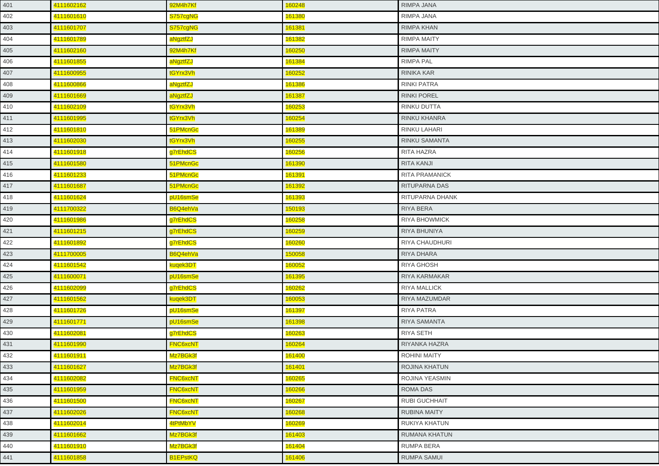| 401 | 4111602162 | 92M4h7Kf        | 160248 | RIMPA JANA            |
|-----|------------|-----------------|--------|-----------------------|
| 402 | 4111601610 | S757cgNG        | 161380 | RIMPA JANA            |
| 403 | 4111601707 | S757cgNG        | 161381 | <b>RIMPA KHAN</b>     |
| 404 | 4111601789 | aNgztfZJ        | 161382 | <b>RIMPA MAITY</b>    |
| 405 | 4111602160 | 92M4h7Kf        | 160250 | <b>RIMPA MAITY</b>    |
| 406 | 4111601855 | aNgztfZJ        | 161384 | <b>RIMPA PAL</b>      |
| 407 | 4111600955 | tGYrx3Vh        | 160252 | RINIKA KAR            |
| 408 | 4111600866 | aNgztfZJ        | 161386 | <b>RINKI PATRA</b>    |
| 409 | 4111601669 | aNgztfZJ        | 161387 | <b>RINKI POREL</b>    |
| 410 | 4111602109 | tGYrx3Vh        | 160253 | <b>RINKU DUTTA</b>    |
| 411 | 4111601995 | tGYrx3Vh        | 160254 | <b>RINKU KHANRA</b>   |
| 412 | 4111601810 | 51PMcnGc        | 161389 | RINKU LAHARI          |
| 413 | 4111602030 | tGYrx3Vh        | 160255 | <b>RINKU SAMANTA</b>  |
| 414 | 4111601918 | g7rEhdCS        | 160256 | <b>RITA HAZRA</b>     |
| 415 | 4111601580 | 51PMcnGc        | 161390 | <b>RITA KANJI</b>     |
| 416 | 4111601233 | 51PMcnGc        | 161391 | <b>RITA PRAMANICK</b> |
| 417 | 4111601687 | 51PMcnGc        | 161392 | RITUPARNA DAS         |
| 418 | 4111601624 | pU16smSe        | 161393 | RITUPARNA DHANK       |
| 419 | 4111700322 | B6Q4ehVa        | 150193 | <b>RIYA BERA</b>      |
| 420 | 4111601986 | g7rEhdCS        | 160258 | <b>RIYA BHOWMICK</b>  |
| 421 | 4111601215 | g7rEhdCS        | 160259 | <b>RIYA BHUNIYA</b>   |
| 422 | 4111601892 | g7rEhdCS        | 160260 | <b>RIYA CHAUDHURI</b> |
| 423 | 4111700005 | B6Q4ehVa        | 150058 | <b>RIYA DHARA</b>     |
| 424 | 4111601542 | kuqek3DT        | 160052 | <b>RIYA GHOSH</b>     |
| 425 | 4111600071 | pU16smSe        | 161395 | RIYA KARMAKAR         |
| 426 | 4111602099 | g7rEhdCS        | 160262 | <b>RIYA MALLICK</b>   |
| 427 | 4111601562 | kuqek3DT        | 160053 | RIYA MAZUMDAR         |
| 428 | 4111601726 | pU16smSe        | 161397 | <b>RIYA PATRA</b>     |
| 429 | 4111601771 | pU16smSe        | 161398 | RIYA SAMANTA          |
| 430 | 4111602081 | g7rEhdCS        | 160263 | <b>RIYA SETH</b>      |
| 431 | 4111601990 | <b>FNC6xcNT</b> | 160264 | RIYANKA HAZRA         |
| 432 | 4111601911 | Mz7BGk3f        | 161400 | <b>ROHINI MAITY</b>   |
| 433 | 4111601627 | Mz7BGk3f        | 161401 | <b>ROJINA KHATUN</b>  |
| 434 | 4111602082 | <b>FNC6xcNT</b> | 160265 | ROJINA YEASMIN        |
| 435 | 4111601959 | <b>FNC6xcNT</b> | 160266 | <b>ROMA DAS</b>       |
| 436 | 4111601500 | <b>FNC6xcNT</b> | 160267 | <b>RUBI GUCHHAIT</b>  |
| 437 | 4111602026 | <b>FNC6xcNT</b> | 160268 | <b>RUBINA MAITY</b>   |
| 438 | 4111602014 | 4tPtMbYV        | 160269 | RUKIYA KHATUN         |
| 439 | 4111601662 | Mz7BGk3f        | 161403 | RUMANA KHATUN         |
| 440 | 4111601910 | Mz7BGk3f        | 161404 | <b>RUMPA BERA</b>     |
| 441 | 4111601858 | <b>B1EPstKQ</b> | 161406 | <b>RUMPA SAMUI</b>    |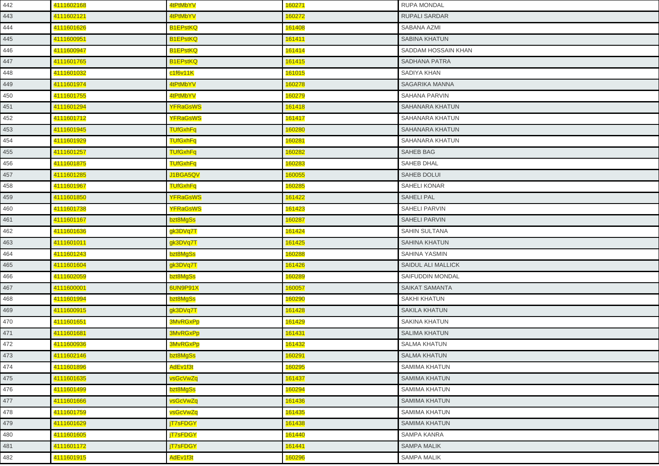| 442 | 4111602168 | 4tPtMbYV        | 160271 | <b>RUPA MONDAL</b>    |
|-----|------------|-----------------|--------|-----------------------|
| 443 | 4111602121 | 4tPtMbYV        | 160272 | <b>RUPALI SARDAR</b>  |
| 444 | 4111601626 | <b>B1EPstKQ</b> | 161408 | SABANA AZMI           |
| 445 | 4111600951 | <b>B1EPstKQ</b> | 161411 | <b>SABINA KHATUN</b>  |
| 446 | 4111600947 | <b>B1EPstKQ</b> | 161414 | SADDAM HOSSAIN KHAN   |
| 447 | 4111601765 | <b>B1EPstKQ</b> | 161415 | <b>SADHANA PATRA</b>  |
| 448 | 4111601032 | c1f6v11K        | 161015 | SADIYA KHAN           |
| 449 | 4111601974 | 4tPtMbYV        | 160278 | SAGARIKA MANNA        |
| 450 | 4111601755 | 4tPtMbYV        | 160279 | SAHANA PARVIN         |
| 451 | 4111601294 | <b>YFRaGsWS</b> | 161418 | SAHANARA KHATUN       |
| 452 | 4111601712 | <b>YFRaGsWS</b> | 161417 | SAHANARA KHATUN       |
| 453 | 4111601945 | <b>TUfGxhFq</b> | 160280 | SAHANARA KHATUN       |
| 454 | 4111601929 | <b>TUfGxhFq</b> | 160281 | SAHANARA KHATUN       |
| 455 | 4111601257 | <b>TUfGxhFq</b> | 160282 | <b>SAHEB BAG</b>      |
| 456 | 4111601875 | <b>TUfGxhFq</b> | 160283 | SAHEB DHAL            |
| 457 | 4111601285 | J1BGA5QV        | 160055 | <b>SAHEB DOLUI</b>    |
| 458 | 4111601967 | <b>TUfGxhFq</b> | 160285 | SAHELI KONAR          |
| 459 | 4111601850 | <b>YFRaGsWS</b> | 161422 | <b>SAHELI PAL</b>     |
| 460 | 4111601738 | <b>YFRaGsWS</b> | 161423 | <b>SAHELI PARVIN</b>  |
| 461 | 4111601167 | bzt8MgSs        | 160287 | <b>SAHELI PARVIN</b>  |
| 462 | 4111601636 | gk3DVq7T        | 161424 | <b>SAHIN SULTANA</b>  |
| 463 | 4111601011 | gk3DVq7T        | 161425 | SAHINA KHATUN         |
| 464 | 4111601243 | bzt8MgSs        | 160288 | SAHINA YASMIN         |
| 465 | 4111601604 | gk3DVq7T        | 161426 | SAIDUL ALI MALLICK    |
| 466 | 4111602059 | bzt8MgSs        | 160289 | SAIFUDDIN MONDAL      |
| 467 | 4111600001 | 6UN9P91X        | 160057 | <b>SAIKAT SAMANTA</b> |
| 468 | 4111601994 | bzt8MgSs        | 160290 | <b>SAKHI KHATUN</b>   |
| 469 | 4111600915 | gk3DVq7T        | 161428 | <b>SAKILA KHATUN</b>  |
| 470 | 4111601651 | <b>3MvRGxPp</b> | 161429 | SAKINA KHATUN         |
| 471 | 4111601681 | <b>3MvRGxPp</b> | 161431 | <b>SALIMA KHATUN</b>  |
| 472 | 4111600936 | <b>3MvRGxPp</b> | 161432 | <b>SALMA KHATUN</b>   |
| 473 | 4111602146 | bzt8MgSs        | 160291 | <b>SALMA KHATUN</b>   |
| 474 | 4111601896 | AdEv1f3t        | 160295 | <b>SAMIMA KHATUN</b>  |
| 475 | 4111601635 | vsGcVwZq        | 161437 | <b>SAMIMA KHATUN</b>  |
| 476 | 4111601499 | bzt8MgSs        | 160294 | <b>SAMIMA KHATUN</b>  |
| 477 | 4111601666 | vsGcVwZq        | 161436 | <b>SAMIMA KHATUN</b>  |
| 478 | 4111601759 | vsGcVwZq        | 161435 | <b>SAMIMA KHATUN</b>  |
| 479 | 4111601629 | jT7sFDGY        | 161438 | <b>SAMIMA KHATUN</b>  |
| 480 | 4111601605 | jT7sFDGY        | 161440 | <b>SAMPA KANRA</b>    |
| 481 | 4111601172 | jT7sFDGY        | 161441 | <b>SAMPA MALIK</b>    |
| 482 | 4111601915 | AdEv1f3t        | 160296 | <b>SAMPA MALIK</b>    |
|     |            |                 |        |                       |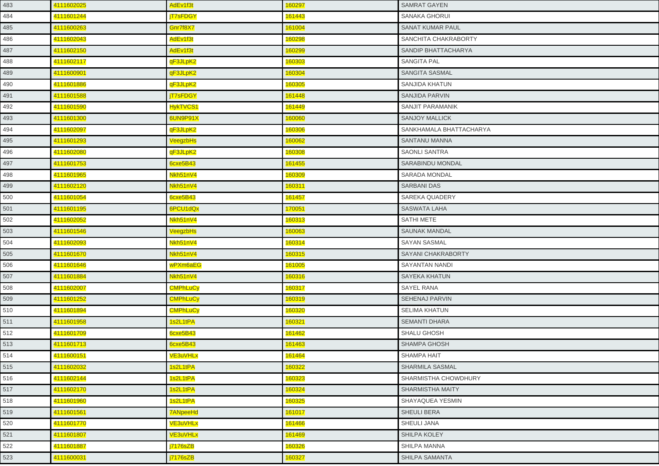| 483 | 4111602025 | AdEv1f3t        | 160297 | <b>SAMRAT GAYEN</b>     |
|-----|------------|-----------------|--------|-------------------------|
| 484 | 4111601244 | <b>iT7sFDGY</b> | 161443 | <b>SANAKA GHORUI</b>    |
| 485 | 4111600263 | Gnr7f8X7        | 161004 | <b>SANAT KUMAR PAUL</b> |
| 486 | 4111602043 | AdEv1f3t        | 160298 | SANCHITA CHAKRABORTY    |
| 487 | 4111602150 | AdEv1f3t        | 160299 | SANDIP BHATTACHARYA     |
| 488 | 4111602117 | qF3JLpK2        | 160303 | <b>SANGITA PAL</b>      |
| 489 | 4111600901 | qF3JLpK2        | 160304 | SANGITA SASMAL          |
| 490 | 4111601886 | qF3JLpK2        | 160305 | SANJIDA KHATUN          |
| 491 | 4111601588 | jT7sFDGY        | 161448 | SANJIDA PARVIN          |
| 492 | 4111601590 | HykTVCS1        | 161449 | SANJIT PARAMANIK        |
| 493 | 4111601300 | 6UN9P91X        | 160060 | <b>SANJOY MALLICK</b>   |
| 494 | 4111602097 | qF3JLpK2        | 160306 | SANKHAMALA BHATTACHARYA |
| 495 | 4111601293 | VeegzbHs        | 160062 | <b>SANTANU MANNA</b>    |
| 496 | 4111602080 | qF3JLpK2        | 160308 | <b>SAONLI SANTRA</b>    |
| 497 | 4111601753 | 6cxe5B43        | 161455 | <b>SARABINDU MONDAL</b> |
| 498 | 4111601965 | Nkh51nV4        | 160309 | <b>SARADA MONDAL</b>    |
| 499 | 4111602120 | Nkh51nV4        | 160311 | <b>SARBANI DAS</b>      |
| 500 | 4111601054 | 6cxe5B43        | 161457 | <b>SAREKA QUADERY</b>   |
| 501 | 4111601195 | 6PCU1dQx        | 170051 | <b>SASWATA LAHA</b>     |
| 502 | 4111602052 | Nkh51nV4        | 160313 | <b>SATHI METE</b>       |
| 503 | 4111601546 | VeegzbHs        | 160063 | <b>SAUNAK MANDAL</b>    |
| 504 | 4111602093 | Nkh51nV4        | 160314 | <b>SAYAN SASMAL</b>     |
| 505 | 4111601670 | Nkh51nV4        | 160315 | SAYANI CHAKRABORTY      |
| 506 | 4111601646 | wPXm6aEG        | 161005 | <b>SAYANTAN NANDI</b>   |
| 507 | 4111601884 | Nkh51nV4        | 160316 | <b>SAYEKA KHATUN</b>    |
| 508 | 4111602007 | <b>CMPhLuCy</b> | 160317 | <b>SAYEL RANA</b>       |
| 509 | 4111601252 | <b>CMPhLuCy</b> | 160319 | <b>SEHENAJ PARVIN</b>   |
| 510 | 4111601894 | <b>CMPhLuCy</b> | 160320 | <b>SELIMA KHATUN</b>    |
| 511 | 4111601958 | 1s2L1tPA        | 160321 | <b>SEMANTI DHARA</b>    |
| 512 | 4111601709 | 6cxe5B43        | 161462 | <b>SHALU GHOSH</b>      |
| 513 | 4111601713 | 6cxe5B43        | 161463 | <b>SHAMPA GHOSH</b>     |
| 514 | 4111600151 | <b>VE3uVHLx</b> | 161464 | <b>SHAMPA HAIT</b>      |
| 515 | 4111602032 | 1s2L1tPA        | 160322 | <b>SHARMILA SASMAL</b>  |
| 516 | 4111602144 | 1s2L1tPA        | 160323 | SHARMISTHA CHOWDHURY    |
| 517 | 4111602170 | 1s2L1tPA        | 160324 | <b>SHARMISTHA MAITY</b> |
| 518 | 4111601960 | 1s2L1tPA        | 160325 | SHAYAQUEA YESMIN        |
| 519 | 4111601561 | <b>7ANpeeHd</b> | 161017 | <b>SHEULI BERA</b>      |
| 520 | 4111601770 | <b>VE3uVHLx</b> | 161466 | <b>SHEULI JANA</b>      |
| 521 | 4111601807 | <b>VE3uVHLx</b> | 161469 | SHILPA KOLEY            |
| 522 | 4111601887 | j7176sZB        | 160326 | SHILPA MANNA            |
| 523 | 4111600031 | j7176sZB        | 160327 | <b>SHILPA SAMANTA</b>   |
|     |            |                 |        |                         |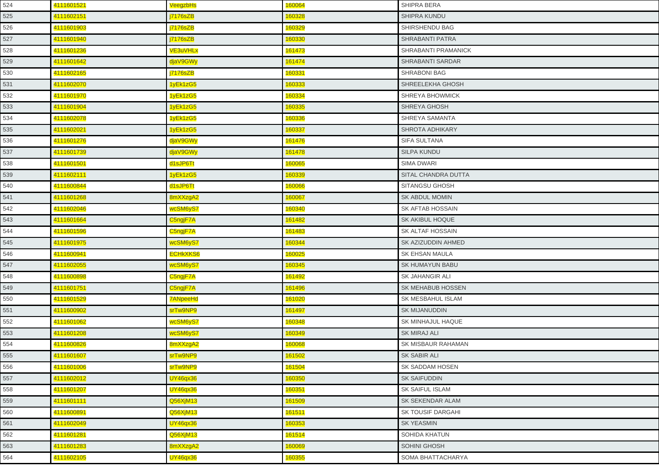| 524 | 4111601521 | VeegzbHs        | 160064        | <b>SHIPRA BERA</b>      |
|-----|------------|-----------------|---------------|-------------------------|
| 525 | 4111602151 | <b>j7176sZB</b> | 160328        | SHIPRA KUNDU            |
| 526 | 4111601903 | j7176sZB        | 160329        | SHIRSHENDU BAG          |
| 527 | 4111601940 | j7176sZB        | 160330        | <b>SHRABANTI PATRA</b>  |
| 528 | 4111601236 | <b>VE3uVHLx</b> | 161473        | SHRABANTI PRAMANICK     |
| 529 | 4111601642 | djaV9GWy        | 161474        | <b>SHRABANTI SARDAR</b> |
| 530 | 4111602165 | j7176sZB        | 160331        | <b>SHRABONI BAG</b>     |
| 531 | 4111602070 | 1yEk1zG5        | 160333        | SHREELEKHA GHOSH        |
| 532 | 4111601970 | 1yEk1zG5        | 160334        | SHREYA BHOWMICK         |
| 533 | 4111601904 | 1yEk1zG5        | 160335        | <b>SHREYA GHOSH</b>     |
| 534 | 4111602078 | 1yEk1zG5        | 160336        | SHREYA SAMANTA          |
| 535 | 4111602021 | 1yEk1zG5        | 160337        | SHROTA ADHIKARY         |
| 536 | 4111601276 | djaV9GWy        | 161476        | <b>SIFA SULTANA</b>     |
| 537 | 4111601739 | djaV9GWy        | 161478        | <b>SILPA KUNDU</b>      |
| 538 | 4111601501 | d1sJP6Tt        | 160065        | <b>SIMA DWARI</b>       |
| 539 | 4111602111 | 1yEk1zG5        | 160339        | SITAL CHANDRA DUTTA     |
| 540 | 4111600844 | d1sJP6Tt        | 160066        | SITANGSU GHOSH          |
| 541 | 4111601268 | 8mXXzgA2        | 160067        | <b>SK ABDUL MOMIN</b>   |
| 542 | 4111602046 | wcSM6yS7        | 160340        | SK AFTAB HOSSAIN        |
| 543 | 4111601664 | C5ngjF7A        | 161482        | SK AKIBUL HOQUE         |
| 544 | 4111601596 | C5ngjF7A        | 161483        | SK ALTAF HOSSAIN        |
| 545 | 4111601975 | wcSM6yS7        | 160344        | SK AZIZUDDIN AHMED      |
| 546 | 4111600941 | <b>ECHKXKS6</b> | 160025        | <b>SK EHSAN MAULA</b>   |
| 547 | 4111602055 | wcSM6yS7        | 160345        | <b>SK HUMAYUN BABU</b>  |
| 548 | 4111600898 | C5ngjF7A        | 161492        | SK JAHANGIR ALI         |
| 549 | 4111601751 | C5ngjF7A        | 161496        | SK MEHABUB HOSSEN       |
| 550 | 4111601529 | 7ANpeeHd        | 161020        | SK MESBAHUL ISLAM       |
| 551 | 4111600902 | srTw9NP9        | 161497        | <b>SK MIJANUDDIN</b>    |
| 552 | 4111601062 | wcSM6yS7        | 160348        | SK MINHAJUL HAQUE       |
| 553 | 4111601208 | wcSM6yS7        | 160349        | <b>SK MIRAJ ALI</b>     |
| 554 | 4111600826 | 8mXXzgA2        | 160068        | SK MISBAUR RAHAMAN      |
| 555 | 4111601607 | srTw9NP9        | 161502        | SK SABIR ALI            |
| 556 | 4111601006 | srTw9NP9        | 161504        | SK SADDAM HOSEN         |
| 557 | 4111602012 | <b>UY46qx36</b> | 160350        | <b>SK SAIFUDDIN</b>     |
| 558 | 4111601207 | <b>UY46qx36</b> | 160351        | SK SAIFUL ISLAM         |
| 559 | 4111601111 | Q56XjM13        | 161509        | SK SEKENDAR ALAM        |
| 560 | 4111600891 | Q56XjM13        | <b>161511</b> | SK TOUSIF DARGAHI       |
| 561 | 4111602049 | <b>UY46qx36</b> | 160353        | <b>SK YEASMIN</b>       |
| 562 | 4111601281 | Q56XjM13        | 161514        | SOHIDA KHATUN           |
| 563 | 4111601283 | 8mXXzgA2        | 160069        | SOHINI GHOSH            |
| 564 | 4111602105 | <b>UY46qx36</b> | 160355        | SOMA BHATTACHARYA       |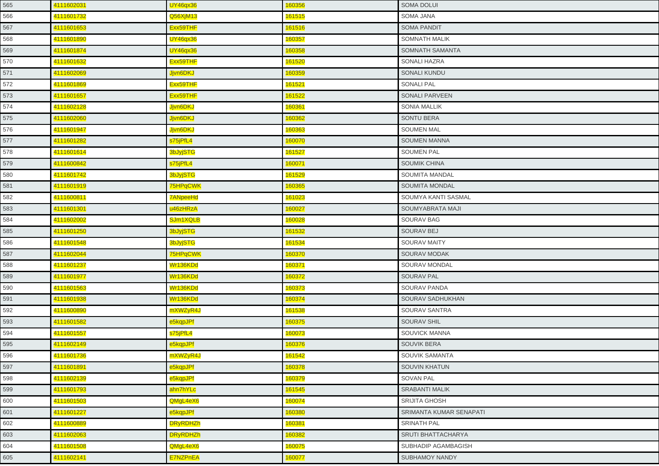| 565 | 4111602031 | <b>UY46qx36</b> | 160356         | <b>SOMA DOLUI</b>       |
|-----|------------|-----------------|----------------|-------------------------|
| 566 | 4111601732 | Q56XjM13        | 161515         | SOMA JANA               |
| 567 | 4111601653 | Exx59THF        | 161516         | <b>SOMA PANDIT</b>      |
| 568 | 4111601890 | <b>UY46qx36</b> | 160357         | SOMNATH MALIK           |
| 569 | 4111601874 | <b>UY46qx36</b> | 160358         | SOMNATH SAMANTA         |
| 570 | 4111601632 | Exx59THF        | 161520         | <b>SONALI HAZRA</b>     |
| 571 | 4111602069 | Jjvn6DKJ        | 160359         | SONALI KUNDU            |
| 572 | 4111601869 | Exx59THF        | 161521         | <b>SONALI PAL</b>       |
| 573 | 4111601657 | Exx59THF        | 161522         | <b>SONALI PARVEEN</b>   |
| 574 | 4111602128 | Jjvn6DKJ        | 160361         | <b>SONIA MALLIK</b>     |
| 575 | 4111602060 | Jjvn6DKJ        | 160362         | <b>SONTU BERA</b>       |
| 576 | 4111601947 | Jjvn6DKJ        | 160363         | <b>SOUMEN MAL</b>       |
| 577 | 4111601282 | s75jPfL4        | 160070         | <b>SOUMEN MANNA</b>     |
| 578 | 4111601614 | 3bJyjSTG        | 161527         | <b>SOUMEN PAL</b>       |
| 579 | 4111600842 | s75jPfL4        | 160071         | <b>SOUMIK CHINA</b>     |
| 580 | 4111601742 | 3bJyjSTG        | 161529         | SOUMITA MANDAL          |
| 581 | 4111601919 | 75HPqCWK        | 160365         | SOUMITA MONDAL          |
| 582 | 4111600811 | 7ANpeeHd        | 161023         | SOUMYA KANTI SASMAL     |
| 583 | 4111601301 | u46zHRzA        | 160027         | SOUMYABRATA MAJI        |
| 584 | 4111602002 | SJm1XQLB        | 160028         | SOURAV BAG              |
| 585 | 4111601250 | 3bJyjSTG        | 161532         | SOURAV BEJ              |
| 586 | 4111601548 | <b>3bJyjSTG</b> | 161534         | <b>SOURAV MAITY</b>     |
| 587 | 4111602044 | 75HPqCWK        | 160370         | SOURAV MODAK            |
| 588 | 4111601237 | Wr136KDd        | <u> 160371</u> | SOURAV MONDAL           |
| 589 | 4111601977 | Wr136KDd        | 160372         | <b>SOURAV PAL</b>       |
| 590 | 4111601563 | Wr136KDd        | 160373         | SOURAV PANDA            |
| 591 | 4111601938 | Wr136KDd        | 160374         | SOURAV SADHUKHAN        |
| 592 | 4111600890 | mXWZyR4J        | 161538         | SOURAV SANTRA           |
| 593 | 4111601582 | e5kqpJPf        | 160375         | <b>SOURAV SHIL</b>      |
| 594 | 4111601557 | s75jPfL4        | 160073         | SOUVICK MANNA           |
| 595 | 4111602149 | e5kqpJPf        | 160376         | <b>SOUVIK BERA</b>      |
| 596 | 4111601736 | mXWZyR4J        | 161542         | SOUVIK SAMANTA          |
| 597 | 4111601891 | e5kqpJPf        | 160378         | SOUVIN KHATUN           |
| 598 | 4111602139 | e5kqpJPf        | 160379         | SOVAN PAL               |
| 599 | 4111601793 | ahn7hYLc        | 161545         | <b>SRABANTI MALIK</b>   |
| 600 | 4111601503 | QMgL4eX6        | 160074         | SRIJITA GHOSH           |
| 601 | 4111601227 | e5kqpJPf        | 160380         | SRIMANTA KUMAR SENAPATI |
| 602 | 4111600889 | <b>DRyRDHZh</b> | 160381         | <b>SRINATH PAL</b>      |
| 603 | 4111602063 | <b>DRyRDHZh</b> | 160382         | SRUTI BHATTACHARYA      |
| 604 | 4111601508 | QMgL4eX6        | 160075         | SUBHADIP AGAMBAGISH     |
| 605 | 4111602141 | <b>E7NZPnEA</b> | 160077         | <b>SUBHAMOY NANDY</b>   |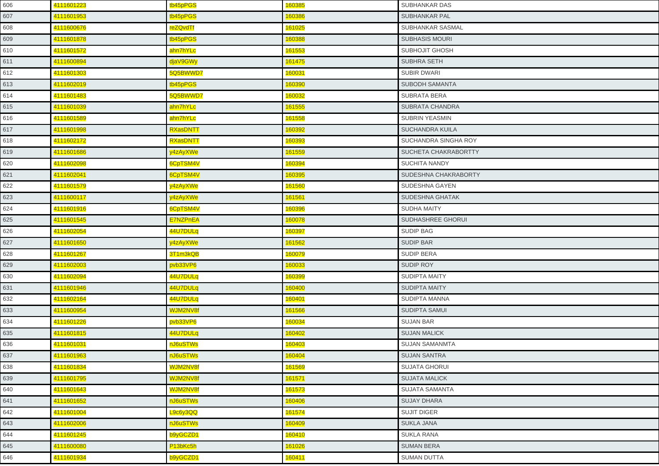| 606 | 4111601223 | tb45pPGS             | 160385 | <b>SUBHANKAR DAS</b>   |
|-----|------------|----------------------|--------|------------------------|
| 607 | 4111601953 | tb45pPGS             | 160386 | <b>SUBHANKAR PAL</b>   |
| 608 | 4111600676 | reZQvdTf             | 161025 | SUBHANKAR SASMAL       |
| 609 | 4111601878 | tb45pPGS             | 160388 | <b>SUBHASIS MOURI</b>  |
| 610 | 4111601572 | ahn7hYLc             | 161553 | SUBHOJIT GHOSH         |
| 611 | 4111600894 | djaV9GWy             | 161475 | SUBHRA SETH            |
| 612 | 4111601303 | 5Q5BWWD7             | 160031 | <b>SUBIR DWARI</b>     |
| 613 | 4111602019 | tb45pPGS             | 160390 | <b>SUBODH SAMANTA</b>  |
| 614 | 4111601483 | 5Q5BWWD7             | 160032 | SUBRATA BERA           |
| 615 | 4111601039 | ahn7hYLc             | 161555 | <b>SUBRATA CHANDRA</b> |
| 616 | 4111601589 | ahn7hYLc             | 161558 | SUBRIN YEASMIN         |
| 617 | 4111601998 | RXasDNTT             | 160392 | SUCHANDRA KUILA        |
| 618 | 4111602172 | RXasDNTT             | 160393 | SUCHANDRA SINGHA ROY   |
| 619 | 4111601686 | y4zAyXWe             | 161559 | SUCHETA CHAKRABORTTY   |
| 620 | 4111602098 | 6CpTSM4V             | 160394 | <b>SUCHITA NANDY</b>   |
| 621 | 4111602041 | 6CpTSM4V             | 160395 | SUDESHNA CHAKRABORTY   |
| 622 | 4111601579 | y4zAyXWe             | 161560 | SUDESHNA GAYEN         |
| 623 | 4111600117 | y4zAyXWe             | 161561 | SUDESHNA GHATAK        |
| 624 | 4111601916 | 6CpTSM4V             | 160396 | <b>SUDHA MAITY</b>     |
| 625 | 4111601545 | <b>E7NZPnEA</b>      | 160078 | SUDHASHREE GHORUI      |
| 626 | 4111602054 | 44U7DULq             | 160397 | <b>SUDIP BAG</b>       |
| 627 | 4111601650 | y4zAyXWe             | 161562 | <b>SUDIP BAR</b>       |
| 628 | 4111601267 | 3T1m3kQB             | 160079 | SUDIP BERA             |
| 629 | 4111602003 | pvb33VP6             | 160033 | SUDIP ROY              |
| 630 | 4111602094 | 44U7DULq             | 160399 | <b>SUDIPTA MAITY</b>   |
| 631 | 4111601946 | 44U7DULq             | 160400 | <b>SUDIPTA MAITY</b>   |
| 632 | 4111602164 | 44U7DULq             | 160401 | SUDIPTA MANNA          |
| 633 | 4111600954 | WJM2NV8f             | 161566 | SUDIPTA SAMUI          |
| 634 | 4111601226 | pvb33VP6             | 160034 | <b>SUJAN BAR</b>       |
| 635 | 4111601815 | 44U7DULq             | 160402 | <b>SUJAN MALICK</b>    |
| 636 | 4111601031 | nJ6uSTWs             | 160403 | SUJAN SAMANMTA         |
| 637 | 4111601963 | nJ6uSTWs             | 160404 | <b>SUJAN SANTRA</b>    |
| 638 | 4111601834 | WJM2NV8f             | 161569 | SUJATA GHORUI          |
| 639 | 4111601795 | WJM2NV8f             | 161571 | <b>SUJATA MALICK</b>   |
| 640 | 4111601643 | WJM2NV8f             | 161573 | <b>SUJATA SAMANTA</b>  |
| 641 | 4111601652 | nJ6uSTWs             | 160406 | <b>SUJAY DHARA</b>     |
| 642 | 4111601004 | L9c6y3QQ             | 161574 | <b>SUJIT DIGER</b>     |
| 643 | 4111602006 | nJ6uSTWs             | 160409 | <b>SUKLA JANA</b>      |
| 644 | 4111601245 | b9yGCZD1             | 160410 | <b>SUKLA RANA</b>      |
| 645 | 4111600080 | P <sub>13bKc5h</sub> | 161026 | <b>SUMAN BERA</b>      |
| 646 | 4111601934 | b9yGCZD1             | 160411 | <b>SUMAN DUTTA</b>     |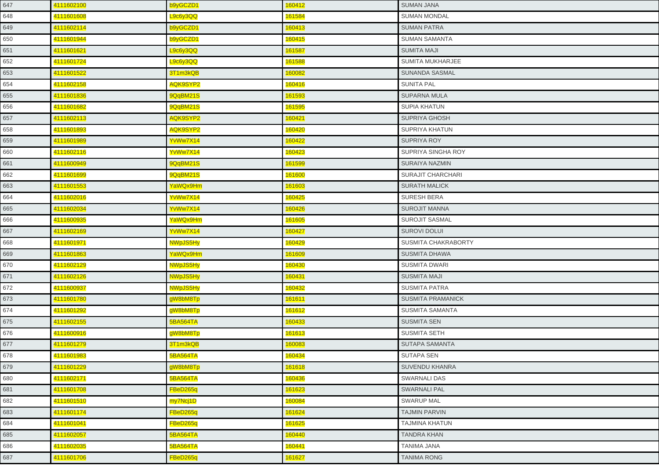| 647 | 4111602100 | b9yGCZD1        | 160412 | <b>SUMAN JANA</b>        |
|-----|------------|-----------------|--------|--------------------------|
| 648 | 4111601608 | L9c6y3QQ        | 161584 | <b>SUMAN MONDAL</b>      |
| 649 | 4111602114 | b9yGCZD1        | 160413 | <b>SUMAN PATRA</b>       |
| 650 | 4111601944 | b9yGCZD1        | 160415 | <b>SUMAN SAMANTA</b>     |
| 651 | 4111601621 | L9c6y3QQ        | 161587 | <b>SUMITA MAJI</b>       |
| 652 | 4111601724 | L9c6y3QQ        | 161588 | SUMITA MUKHARJEE         |
| 653 | 4111601522 | 3T1m3kQB        | 160082 | SUNANDA SASMAL           |
| 654 | 4111602158 | AQK9SYP2        | 160416 | <b>SUNITA PAL</b>        |
| 655 | 4111601836 | 9QqBM21S        | 161593 | SUPARNA MULA             |
| 656 | 4111601682 | 9QqBM21S        | 161595 | <b>SUPIA KHATUN</b>      |
| 657 | 4111602113 | AQK9SYP2        | 160421 | <b>SUPRIYA GHOSH</b>     |
| 658 | 4111601893 | AQK9SYP2        | 160420 | SUPRIYA KHATUN           |
| 659 | 4111601989 | YvWw7X14        | 160422 | <b>SUPRIYA ROY</b>       |
| 660 | 4111602116 | YvWw7X14        | 160423 | SUPRIYA SINGHA ROY       |
| 661 | 4111600949 | 9QqBM21S        | 161599 | <b>SURAIYA NAZMIN</b>    |
| 662 | 4111601699 | 9QqBM21S        | 161600 | SURAJIT CHARCHARI        |
| 663 | 4111601553 | YaWQx9Hm        | 161603 | <b>SURATH MALICK</b>     |
| 664 | 4111602016 | YvWw7X14        | 160425 | <b>SURESH BERA</b>       |
| 665 | 4111602034 | YvWw7X14        | 160426 | <b>SUROJIT MANNA</b>     |
| 666 | 4111600935 | YaWQx9Hm        | 161605 | <b>SUROJIT SASMAL</b>    |
| 667 | 4111602169 | YvWw7X14        | 160427 | <b>SUROVI DOLUI</b>      |
| 668 | 4111601971 | <b>NWpJS5Hy</b> | 160429 | SUSMITA CHAKRABORTY      |
| 669 | 4111601863 | YaWQx9Hm        | 161609 | <b>SUSMITA DHAWA</b>     |
| 670 | 4111602129 | NWpJS5Hy        | 160430 | <b>SUSMITA DWARI</b>     |
| 671 | 4111602126 | NWpJS5Hy        | 160431 | <b>SUSMITA MAJI</b>      |
| 672 | 4111600937 | NWpJS5Hy        | 160432 | <b>SUSMITA PATRA</b>     |
| 673 | 4111601780 | gW8bM8Tp        | 161611 | <b>SUSMITA PRAMANICK</b> |
| 674 | 4111601292 | gW8bM8Tp        | 161612 | <b>SUSMITA SAMANTA</b>   |
| 675 | 4111602155 | <b>5BA564TA</b> | 160433 | <b>SUSMITA SEN</b>       |
| 676 | 4111600916 | gW8bM8Tp        | 161613 | <b>SUSMITA SETH</b>      |
| 677 | 4111601279 | 3T1m3kQB        | 160083 | SUTAPA SAMANTA           |
| 678 | 4111601983 | 5BA564TA        | 160434 | <b>SUTAPA SEN</b>        |
| 679 | 4111601229 | gW8bM8Tp        | 161618 | <b>SUVENDU KHANRA</b>    |
| 680 | 4111602171 | 5BA564TA        | 160436 | <b>SWARNALI DAS</b>      |
| 681 | 4111601708 | FBeD265q        | 161623 | <b>SWARNALI PAL</b>      |
| 682 | 4111601510 | my7Ncj1D        | 160084 | <b>SWARUP MAL</b>        |
| 683 | 4111601174 | FBeD265q        | 161624 | <b>TAJMIN PARVIN</b>     |
| 684 | 4111601041 | FBeD265q        | 161625 | <b>TAJMINA KHATUN</b>    |
| 685 | 4111602057 | <b>5BA564TA</b> | 160440 | <b>TANDRA KHAN</b>       |
| 686 | 4111602035 | <b>5BA564TA</b> | 160441 | <b>TANIMA JANA</b>       |
| 687 | 4111601706 | FBeD265q        | 161627 | <b>TANIMA RONG</b>       |